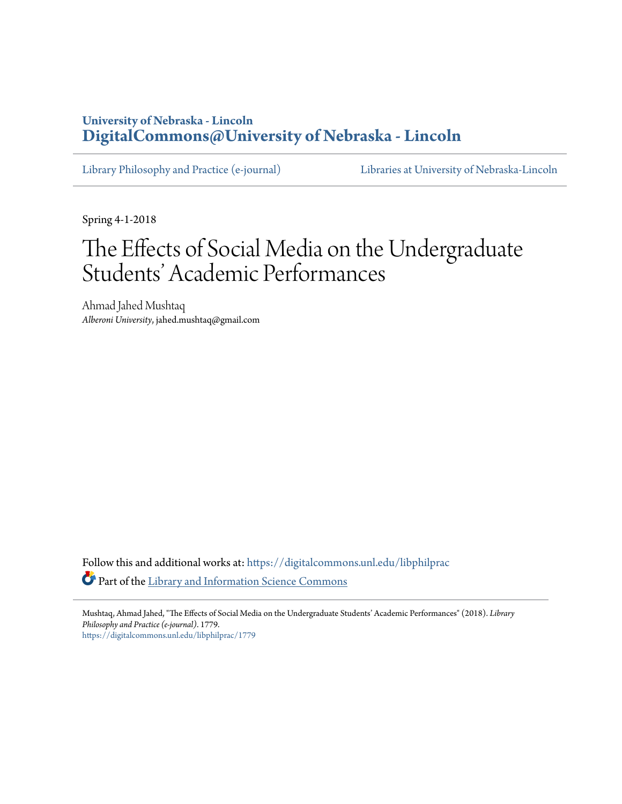## **University of Nebraska - Lincoln [DigitalCommons@University of Nebraska - Lincoln](https://digitalcommons.unl.edu?utm_source=digitalcommons.unl.edu%2Flibphilprac%2F1779&utm_medium=PDF&utm_campaign=PDFCoverPages)**

[Library Philosophy and Practice \(e-journal\)](https://digitalcommons.unl.edu/libphilprac?utm_source=digitalcommons.unl.edu%2Flibphilprac%2F1779&utm_medium=PDF&utm_campaign=PDFCoverPages) [Libraries at University of Nebraska-Lincoln](https://digitalcommons.unl.edu/libraries?utm_source=digitalcommons.unl.edu%2Flibphilprac%2F1779&utm_medium=PDF&utm_campaign=PDFCoverPages)

Spring 4-1-2018

# The Effects of Social Media on the Undergraduate Students' Academic Performances

Ahmad Jahed Mushtaq *Alberoni University*, jahed.mushtaq@gmail.com

Follow this and additional works at: [https://digitalcommons.unl.edu/libphilprac](https://digitalcommons.unl.edu/libphilprac?utm_source=digitalcommons.unl.edu%2Flibphilprac%2F1779&utm_medium=PDF&utm_campaign=PDFCoverPages) Part of the [Library and Information Science Commons](http://network.bepress.com/hgg/discipline/1018?utm_source=digitalcommons.unl.edu%2Flibphilprac%2F1779&utm_medium=PDF&utm_campaign=PDFCoverPages)

Mushtaq, Ahmad Jahed, "The Effects of Social Media on the Undergraduate Students' Academic Performances" (2018). *Library Philosophy and Practice (e-journal)*. 1779. [https://digitalcommons.unl.edu/libphilprac/1779](https://digitalcommons.unl.edu/libphilprac/1779?utm_source=digitalcommons.unl.edu%2Flibphilprac%2F1779&utm_medium=PDF&utm_campaign=PDFCoverPages)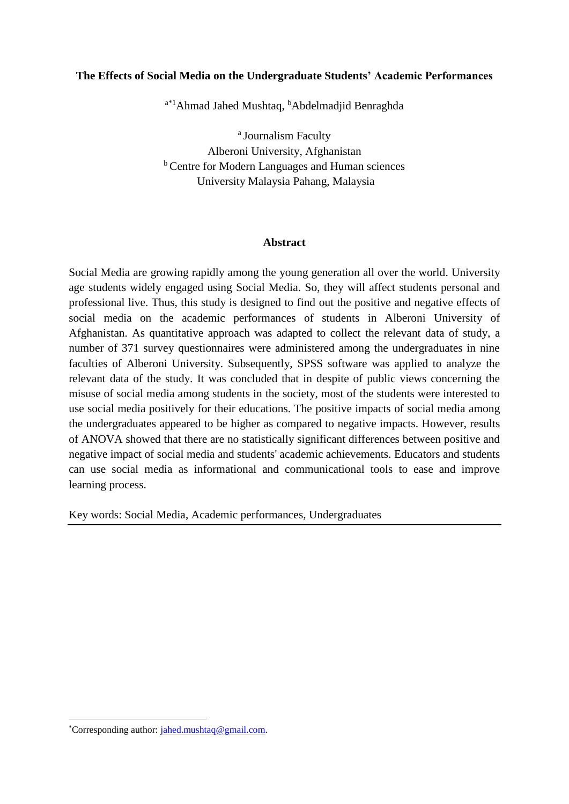#### **The Effects of Social Media on the Undergraduate Students' Academic Performances**

<sup>a\*1</sup>Ahmad Jahed Mushtaq, <sup>b</sup>Abdelmadjid Benraghda

<sup>a</sup> Journalism Faculty Alberoni University, Afghanistan **b** Centre for Modern Languages and Human sciences University Malaysia Pahang, Malaysia

#### **Abstract**

Social Media are growing rapidly among the young generation all over the world. University age students widely engaged using Social Media. So, they will affect students personal and professional live. Thus, this study is designed to find out the positive and negative effects of social media on the academic performances of students in Alberoni University of Afghanistan. As quantitative approach was adapted to collect the relevant data of study, a number of 371 survey questionnaires were administered among the undergraduates in nine faculties of Alberoni University. Subsequently, SPSS software was applied to analyze the relevant data of the study. It was concluded that in despite of public views concerning the misuse of social media among students in the society, most of the students were interested to use social media positively for their educations. The positive impacts of social media among the undergraduates appeared to be higher as compared to negative impacts. However, results of ANOVA showed that there are no statistically significant differences between positive and negative impact of social media and students' academic achievements. Educators and students can use social media as informational and communicational tools to ease and improve learning process.

Key words: Social Media, Academic performances, Undergraduates

**.** 

<sup>\*</sup>Corresponding author: [jahed.mushtaq@gmail.com.](mailto:jahed.mushtaq@gmail.com)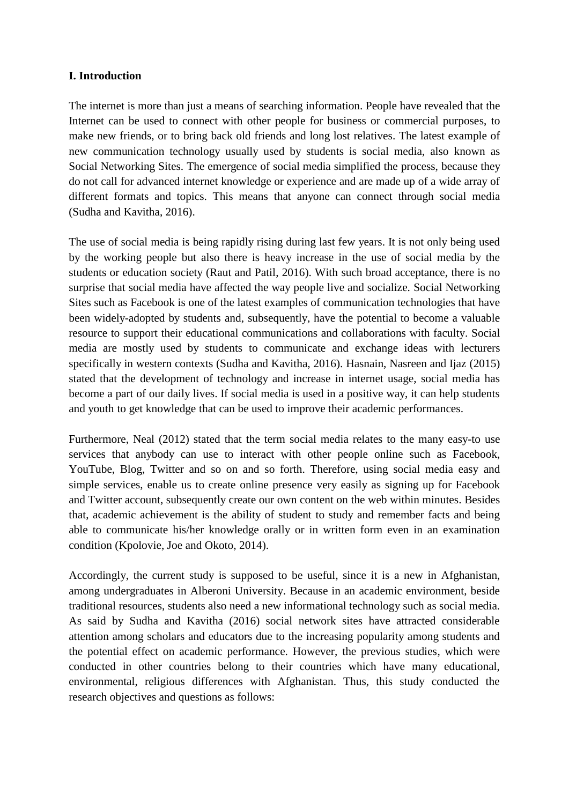## **I. Introduction**

The internet is more than just a means of searching information. People have revealed that the Internet can be used to connect with other people for business or commercial purposes, to make new friends, or to bring back old friends and long lost relatives. The latest example of new communication technology usually used by students is social media, also known as Social Networking Sites. The emergence of social media simplified the process, because they do not call for advanced internet knowledge or experience and are made up of a wide array of different formats and topics. This means that anyone can connect through social media (Sudha and Kavitha, 2016).

The use of social media is being rapidly rising during last few years. It is not only being used by the working people but also there is heavy increase in the use of social media by the students or education society (Raut and Patil, 2016). With such broad acceptance, there is no surprise that social media have affected the way people live and socialize. Social Networking Sites such as Facebook is one of the latest examples of communication technologies that have been widely-adopted by students and, subsequently, have the potential to become a valuable resource to support their educational communications and collaborations with faculty. Social media are mostly used by students to communicate and exchange ideas with lecturers specifically in western contexts (Sudha and Kavitha, 2016). Hasnain, Nasreen and Ijaz (2015) stated that the development of technology and increase in internet usage, social media has become a part of our daily lives. If social media is used in a positive way, it can help students and youth to get knowledge that can be used to improve their academic performances.

Furthermore, Neal (2012) stated that the term social media relates to the many easy-to use services that anybody can use to interact with other people online such as Facebook, YouTube, Blog, Twitter and so on and so forth. Therefore, using social media easy and simple services, enable us to create online presence very easily as signing up for Facebook and Twitter account, subsequently create our own content on the web within minutes. Besides that, academic achievement is the ability of student to study and remember facts and being able to communicate his/her knowledge orally or in written form even in an examination condition (Kpolovie, Joe and Okoto, 2014).

Accordingly, the current study is supposed to be useful, since it is a new in Afghanistan, among undergraduates in Alberoni University. Because in an academic environment, beside traditional resources, students also need a new informational technology such as social media. As said by Sudha and Kavitha (2016) social network sites have attracted considerable attention among scholars and educators due to the increasing popularity among students and the potential effect on academic performance. However, the previous studies, which were conducted in other countries belong to their countries which have many educational, environmental, religious differences with Afghanistan. Thus, this study conducted the research objectives and questions as follows: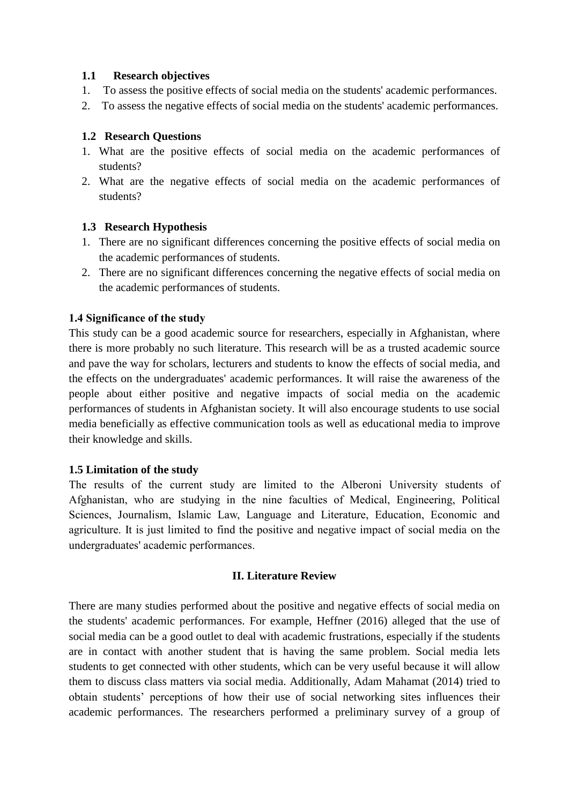#### **1.1 Research objectives**

- 1. To assess the positive effects of social media on the students' academic performances.
- 2. To assess the negative effects of social media on the students' academic performances.

#### **1.2 Research Questions**

- 1. What are the positive effects of social media on the academic performances of students?
- 2. What are the negative effects of social media on the academic performances of students?

#### **1.3 Research Hypothesis**

- 1. There are no significant differences concerning the positive effects of social media on the academic performances of students.
- 2. There are no significant differences concerning the negative effects of social media on the academic performances of students.

#### **1.4 Significance of the study**

This study can be a good academic source for researchers, especially in Afghanistan, where there is more probably no such literature. This research will be as a trusted academic source and pave the way for scholars, lecturers and students to know the effects of social media, and the effects on the undergraduates' academic performances. It will raise the awareness of the people about either positive and negative impacts of social media on the academic performances of students in Afghanistan society. It will also encourage students to use social media beneficially as effective communication tools as well as educational media to improve their knowledge and skills.

#### **1.5 Limitation of the study**

The results of the current study are limited to the Alberoni University students of Afghanistan, who are studying in the nine faculties of Medical, Engineering, Political Sciences, Journalism, Islamic Law, Language and Literature, Education, Economic and agriculture. It is just limited to find the positive and negative impact of social media on the undergraduates' academic performances.

#### **II. Literature Review**

There are many studies performed about the positive and negative effects of social media on the students' academic performances. For example, Heffner (2016) alleged that the use of social media can be a good outlet to deal with academic frustrations, especially if the students are in contact with another student that is having the same problem. Social media lets students to get connected with other students, which can be very useful because it will allow them to discuss class matters via social media. Additionally, Adam Mahamat (2014) tried to obtain students' perceptions of how their use of social networking sites influences their academic performances. The researchers performed a preliminary survey of a group of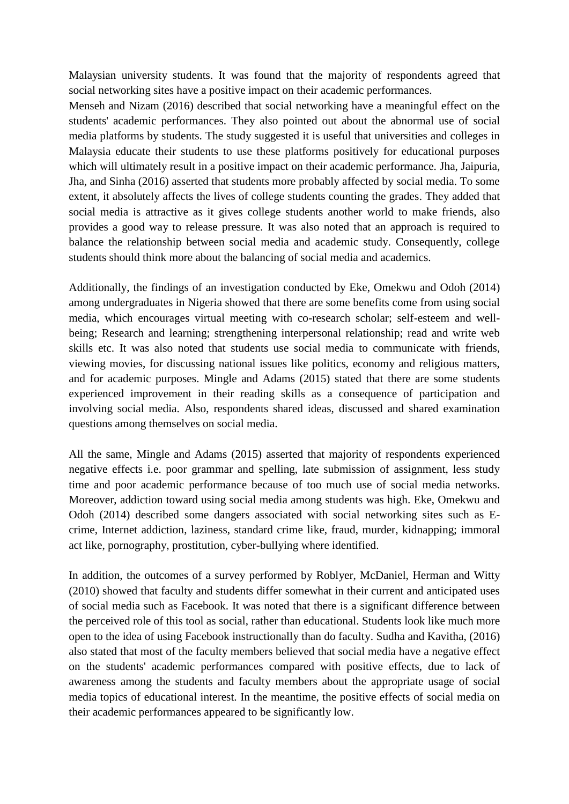Malaysian university students. It was found that the majority of respondents agreed that social networking sites have a positive impact on their academic performances.

Menseh and Nizam (2016) described that social networking have a meaningful effect on the students' academic performances. They also pointed out about the abnormal use of social media platforms by students. The study suggested it is useful that universities and colleges in Malaysia educate their students to use these platforms positively for educational purposes which will ultimately result in a positive impact on their academic performance. Jha, Jaipuria, Jha, and Sinha (2016) asserted that students more probably affected by social media. To some extent, it absolutely affects the lives of college students counting the grades. They added that social media is attractive as it gives college students another world to make friends, also provides a good way to release pressure. It was also noted that an approach is required to balance the relationship between social media and academic study. Consequently, college students should think more about the balancing of social media and academics.

Additionally, the findings of an investigation conducted by Eke, Omekwu and Odoh (2014) among undergraduates in Nigeria showed that there are some benefits come from using social media, which encourages virtual meeting with co-research scholar; self-esteem and wellbeing; Research and learning; strengthening interpersonal relationship; read and write web skills etc. It was also noted that students use social media to communicate with friends, viewing movies, for discussing national issues like politics, economy and religious matters, and for academic purposes. Mingle and Adams (2015) stated that there are some students experienced improvement in their reading skills as a consequence of participation and involving social media. Also, respondents shared ideas, discussed and shared examination questions among themselves on social media.

All the same, Mingle and Adams (2015) asserted that majority of respondents experienced negative effects i.e. poor grammar and spelling, late submission of assignment, less study time and poor academic performance because of too much use of social media networks. Moreover, addiction toward using social media among students was high. Eke, Omekwu and Odoh (2014) described some dangers associated with social networking sites such as Ecrime, Internet addiction, laziness, standard crime like, fraud, murder, kidnapping; immoral act like, pornography, prostitution, cyber-bullying where identified.

In addition, the outcomes of a survey performed by Roblyer, McDaniel, Herman and Witty (2010) showed that faculty and students differ somewhat in their current and anticipated uses of social media such as Facebook. It was noted that there is a significant difference between the perceived role of this tool as social, rather than educational. Students look like much more open to the idea of using Facebook instructionally than do faculty. Sudha and Kavitha, (2016) also stated that most of the faculty members believed that social media have a negative effect on the students' academic performances compared with positive effects, due to lack of awareness among the students and faculty members about the appropriate usage of social media topics of educational interest. In the meantime, the positive effects of social media on their academic performances appeared to be significantly low.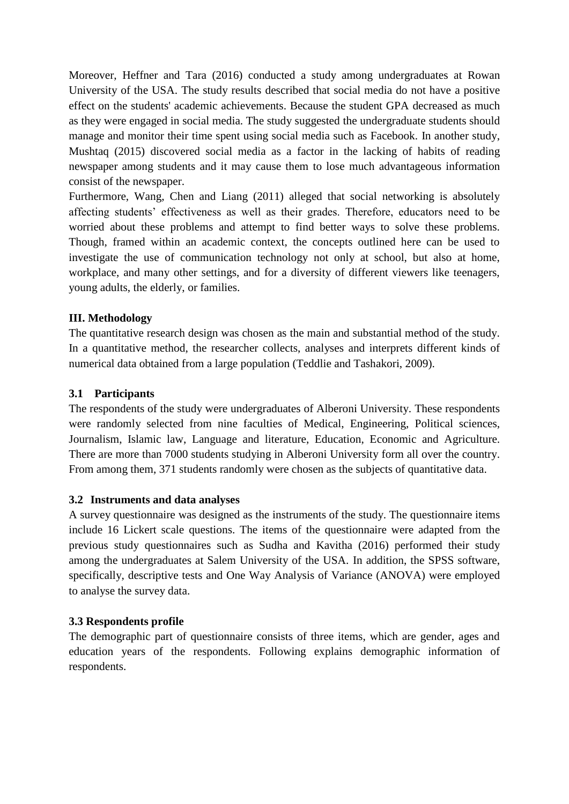Moreover, Heffner and Tara (2016) conducted a study among undergraduates at Rowan University of the USA. The study results described that social media do not have a positive effect on the students' academic achievements. Because the student GPA decreased as much as they were engaged in social media. The study suggested the undergraduate students should manage and monitor their time spent using social media such as Facebook. In another study, Mushtaq (2015) discovered social media as a factor in the lacking of habits of reading newspaper among students and it may cause them to lose much advantageous information consist of the newspaper.

Furthermore, Wang, Chen and Liang (2011) alleged that social networking is absolutely affecting students' effectiveness as well as their grades. Therefore, educators need to be worried about these problems and attempt to find better ways to solve these problems. Though, framed within an academic context, the concepts outlined here can be used to investigate the use of communication technology not only at school, but also at home, workplace, and many other settings, and for a diversity of different viewers like teenagers, young adults, the elderly, or families.

## **III. Methodology**

The quantitative research design was chosen as the main and substantial method of the study. In a quantitative method, the researcher collects, analyses and interprets different kinds of numerical data obtained from a large population (Teddlie and Tashakori, 2009).

## **3.1 Participants**

The respondents of the study were undergraduates of Alberoni University. These respondents were randomly selected from nine faculties of Medical, Engineering, Political sciences, Journalism, Islamic law, Language and literature, Education, Economic and Agriculture. There are more than 7000 students studying in Alberoni University form all over the country. From among them, 371 students randomly were chosen as the subjects of quantitative data.

## **3.2 Instruments and data analyses**

A survey questionnaire was designed as the instruments of the study. The questionnaire items include 16 Lickert scale questions. The items of the questionnaire were adapted from the previous study questionnaires such as Sudha and Kavitha (2016) performed their study among the undergraduates at Salem University of the USA. In addition, the SPSS software, specifically, descriptive tests and One Way Analysis of Variance (ANOVA) were employed to analyse the survey data.

## **3.3 Respondents profile**

The demographic part of questionnaire consists of three items, which are gender, ages and education years of the respondents. Following explains demographic information of respondents.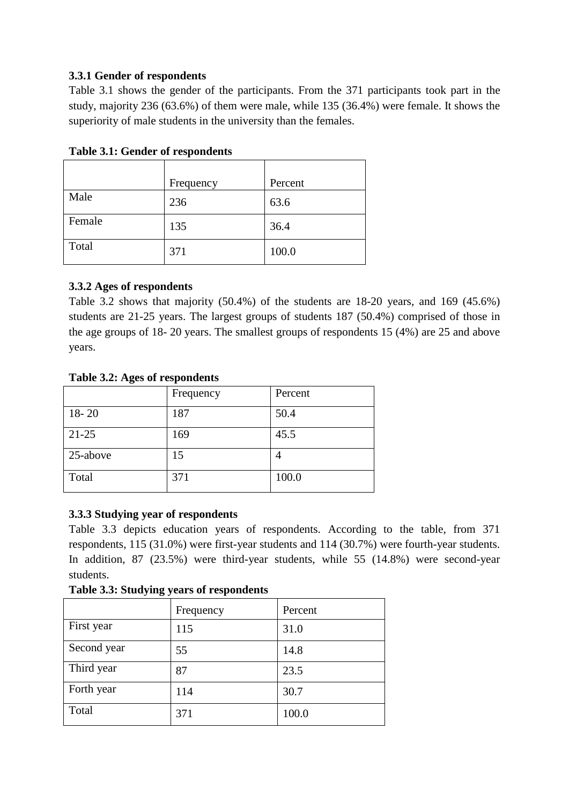## **3.3.1 Gender of respondents**

Table 3.1 shows the gender of the participants. From the 371 participants took part in the study, majority 236 (63.6%) of them were male, while 135 (36.4%) were female. It shows the superiority of male students in the university than the females.

| д.     |           |         |  |  |  |  |
|--------|-----------|---------|--|--|--|--|
|        | Frequency | Percent |  |  |  |  |
| Male   | 236       | 63.6    |  |  |  |  |
| Female | 135       | 36.4    |  |  |  |  |
| Total  | 371       | 100.0   |  |  |  |  |

**Table 3.1: Gender of respondents** 

## **3.3.2 Ages of respondents**

Table 3.2 shows that majority (50.4%) of the students are 18-20 years, and 169 (45.6%) students are 21-25 years. The largest groups of students 187 (50.4%) comprised of those in the age groups of 18- 20 years. The smallest groups of respondents 15 (4%) are 25 and above years.

## **Table 3.2: Ages of respondents**

|           | Frequency | Percent |
|-----------|-----------|---------|
| $18 - 20$ | 187       | 50.4    |
| $21 - 25$ | 169       | 45.5    |
| 25-above  | 15        |         |
| Total     | 371       | 100.0   |

## **3.3.3 Studying year of respondents**

Table 3.3 depicts education years of respondents. According to the table, from 371 respondents, 115 (31.0%) were first-year students and 114 (30.7%) were fourth-year students. In addition, 87 (23.5%) were third-year students, while 55 (14.8%) were second-year students.

**Table 3.3: Studying years of respondents**

|             | Frequency | Percent |
|-------------|-----------|---------|
| First year  | 115       | 31.0    |
| Second year | 55        | 14.8    |
| Third year  | 87        | 23.5    |
| Forth year  | 114       | 30.7    |
| Total       | 371       | 100.0   |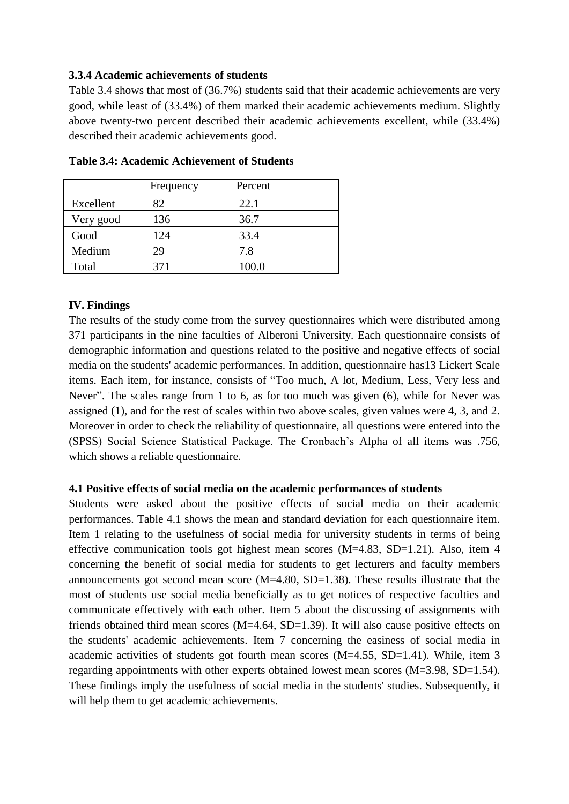#### **3.3.4 Academic achievements of students**

Table 3.4 shows that most of (36.7%) students said that their academic achievements are very good, while least of (33.4%) of them marked their academic achievements medium. Slightly above twenty-two percent described their academic achievements excellent, while (33.4%) described their academic achievements good.

|           | Frequency | Percent |  |
|-----------|-----------|---------|--|
| Excellent | 82        | 22.1    |  |
| Very good | 136       | 36.7    |  |
| Good      | 124       | 33.4    |  |
| Medium    | 29        | 7.8     |  |
| Total     | 371       | 100.0   |  |

**Table 3.4: Academic Achievement of Students**

#### **IV. Findings**

The results of the study come from the survey questionnaires which were distributed among 371 participants in the nine faculties of Alberoni University. Each questionnaire consists of demographic information and questions related to the positive and negative effects of social media on the students' academic performances. In addition, questionnaire has13 Lickert Scale items. Each item, for instance, consists of "Too much, A lot, Medium, Less, Very less and Never". The scales range from 1 to 6, as for too much was given (6), while for Never was assigned (1), and for the rest of scales within two above scales, given values were 4, 3, and 2. Moreover in order to check the reliability of questionnaire, all questions were entered into the (SPSS) Social Science Statistical Package. The Cronbach's Alpha of all items was .756, which shows a reliable questionnaire.

#### **4.1 Positive effects of social media on the academic performances of students**

Students were asked about the positive effects of social media on their academic performances. Table 4.1 shows the mean and standard deviation for each questionnaire item. Item 1 relating to the usefulness of social media for university students in terms of being effective communication tools got highest mean scores (M=4.83, SD=1.21). Also, item 4 concerning the benefit of social media for students to get lecturers and faculty members announcements got second mean score (M=4.80, SD=1.38). These results illustrate that the most of students use social media beneficially as to get notices of respective faculties and communicate effectively with each other. Item 5 about the discussing of assignments with friends obtained third mean scores (M=4.64, SD=1.39). It will also cause positive effects on the students' academic achievements. Item 7 concerning the easiness of social media in academic activities of students got fourth mean scores (M=4.55, SD=1.41). While, item 3 regarding appointments with other experts obtained lowest mean scores (M=3.98, SD=1.54). These findings imply the usefulness of social media in the students' studies. Subsequently, it will help them to get academic achievements.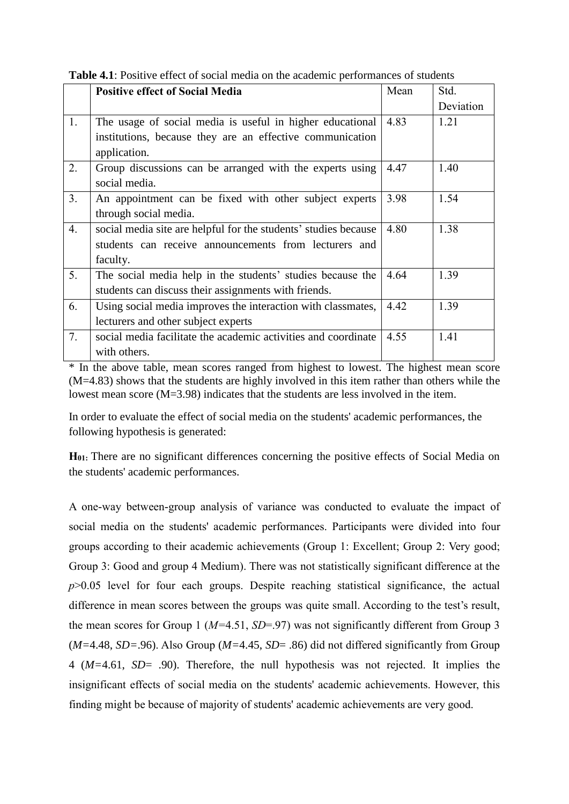|                | <b>Positive effect of Social Media</b>                          | Mean | Std.      |
|----------------|-----------------------------------------------------------------|------|-----------|
|                |                                                                 |      | Deviation |
| 1.             | The usage of social media is useful in higher educational       | 4.83 | 1.21      |
|                | institutions, because they are an effective communication       |      |           |
|                | application.                                                    |      |           |
| 2.             | Group discussions can be arranged with the experts using        | 4.47 | 1.40      |
|                | social media.                                                   |      |           |
| 3 <sub>1</sub> | An appointment can be fixed with other subject experts          | 3.98 | 1.54      |
|                | through social media.                                           |      |           |
| 4.             | social media site are helpful for the students' studies because | 4.80 | 1.38      |
|                | students can receive announcements from lecturers and           |      |           |
|                | faculty.                                                        |      |           |
| 5.             | The social media help in the students' studies because the      | 4.64 | 1.39      |
|                | students can discuss their assignments with friends.            |      |           |
| 6.             | Using social media improves the interaction with classmates,    | 4.42 | 1.39      |
|                | lecturers and other subject experts                             |      |           |
| 7.             | social media facilitate the academic activities and coordinate  | 4.55 | 1.41      |
|                | with others.                                                    |      |           |

**Table 4.1**: Positive effect of social media on the academic performances of students

\* In the above table, mean scores ranged from highest to lowest. The highest mean score (M=4.83) shows that the students are highly involved in this item rather than others while the lowest mean score (M=3.98) indicates that the students are less involved in the item.

In order to evaluate the effect of social media on the students' academic performances, the following hypothesis is generated:

**H01:** There are no significant differences concerning the positive effects of Social Media on the students' academic performances.

A one-way between-group analysis of variance was conducted to evaluate the impact of social media on the students' academic performances. Participants were divided into four groups according to their academic achievements (Group 1: Excellent; Group 2: Very good; Group 3: Good and group 4 Medium). There was not statistically significant difference at the *p*>0.05 level for four each groups. Despite reaching statistical significance, the actual difference in mean scores between the groups was quite small. According to the test's result, the mean scores for Group 1 (*M=*4.51, *SD*=.97) was not significantly different from Group 3 (*M=*4.48, *SD=*.96). Also Group (*M=*4.45, *SD*= .86) did not differed significantly from Group 4 (*M=*4.61, *SD*= .90). Therefore, the null hypothesis was not rejected. It implies the insignificant effects of social media on the students' academic achievements. However, this finding might be because of majority of students' academic achievements are very good.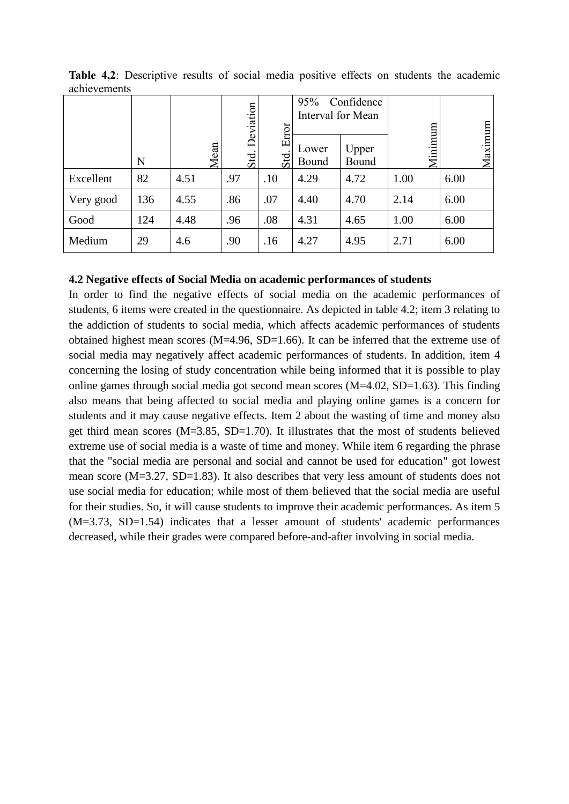|           |     |      | Confidence<br>95%<br>Deviation<br>Interval for Mean |              |                |                |         |      |         |
|-----------|-----|------|-----------------------------------------------------|--------------|----------------|----------------|---------|------|---------|
|           | N   | Mean | $\operatorname{Sdd}$                                | Error<br>Std | Lower<br>Bound | Upper<br>Bound | Minimum |      | Maximum |
| Excellent | 82  | 4.51 | .97                                                 | .10          | 4.29           | 4.72           | 1.00    | 6.00 |         |
| Very good | 136 | 4.55 | .86                                                 | .07          | 4.40           | 4.70           | 2.14    | 6.00 |         |
| Good      | 124 | 4.48 | .96                                                 | .08          | 4.31           | 4.65           | 1.00    | 6.00 |         |
| Medium    | 29  | 4.6  | .90                                                 | .16          | 4.27           | 4.95           | 2.71    | 6.00 |         |

**Table 4,2**: Descriptive results of social media positive effects on students the academic achievements

#### **4.2 Negative effects of Social Media on academic performances of students**

In order to find the negative effects of social media on the academic performances of students, 6 items were created in the questionnaire. As depicted in table 4.2; item 3 relating to the addiction of students to social media, which affects academic performances of students obtained highest mean scores (M=4.96, SD=1.66). It can be inferred that the extreme use of social media may negatively affect academic performances of students. In addition, item 4 concerning the losing of study concentration while being informed that it is possible to play online games through social media got second mean scores (M=4.02, SD=1.63). This finding also means that being affected to social media and playing online games is a concern for students and it may cause negative effects. Item 2 about the wasting of time and money also get third mean scores  $(M=3.85, SD=1.70)$ . It illustrates that the most of students believed extreme use of social media is a waste of time and money. While item 6 regarding the phrase that the "social media are personal and social and cannot be used for education" got lowest mean score (M=3.27, SD=1.83). It also describes that very less amount of students does not use social media for education; while most of them believed that the social media are useful for their studies. So, it will cause students to improve their academic performances. As item 5 (M=3.73, SD=1.54) indicates that a lesser amount of students' academic performances decreased, while their grades were compared before-and-after involving in social media.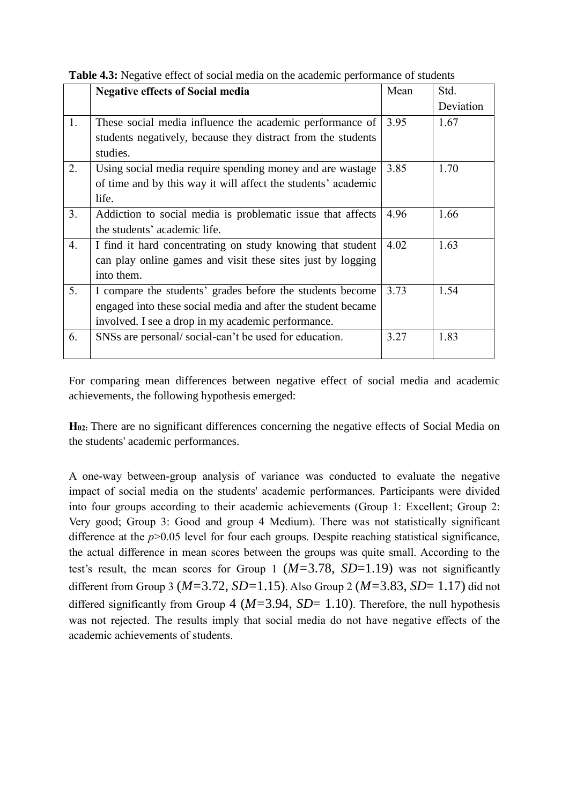|                | <b>Negative effects of Social media</b>                       | Mean | Std.      |
|----------------|---------------------------------------------------------------|------|-----------|
|                |                                                               |      | Deviation |
| 1.             | These social media influence the academic performance of      | 3.95 | 1.67      |
|                | students negatively, because they distract from the students  |      |           |
|                | studies.                                                      |      |           |
| 2.             | Using social media require spending money and are wastage     | 3.85 | 1.70      |
|                | of time and by this way it will affect the students' academic |      |           |
|                | life.                                                         |      |           |
| 3 <sub>1</sub> | Addiction to social media is problematic issue that affects   | 4.96 | 1.66      |
|                | the students' academic life.                                  |      |           |
| 4.             | I find it hard concentrating on study knowing that student    | 4.02 | 1.63      |
|                | can play online games and visit these sites just by logging   |      |           |
|                | into them.                                                    |      |           |
| 5.             | I compare the students' grades before the students become     | 3.73 | 1.54      |
|                | engaged into these social media and after the student became  |      |           |
|                | involved. I see a drop in my academic performance.            |      |           |
| 6.             | SNSs are personal/social-can't be used for education.         | 3.27 | 1.83      |
|                |                                                               |      |           |

**Table 4.3:** Negative effect of social media on the academic performance of students

For comparing mean differences between negative effect of social media and academic achievements, the following hypothesis emerged:

**H02:** There are no significant differences concerning the negative effects of Social Media on the students' academic performances.

A one-way between-group analysis of variance was conducted to evaluate the negative impact of social media on the students' academic performances. Participants were divided into four groups according to their academic achievements (Group 1: Excellent; Group 2: Very good; Group 3: Good and group 4 Medium). There was not statistically significant difference at the *p*>0.05 level for four each groups. Despite reaching statistical significance, the actual difference in mean scores between the groups was quite small. According to the test's result, the mean scores for Group 1 (*M=*3.78, *SD*=1.19) was not significantly different from Group 3 (*M=*3.72, *SD=*1.15). Also Group 2 (*M=*3.83, *SD*= 1.17) did not differed significantly from Group 4 ( $M=3.94$ ,  $SD=1.10$ ). Therefore, the null hypothesis was not rejected. The results imply that social media do not have negative effects of the academic achievements of students.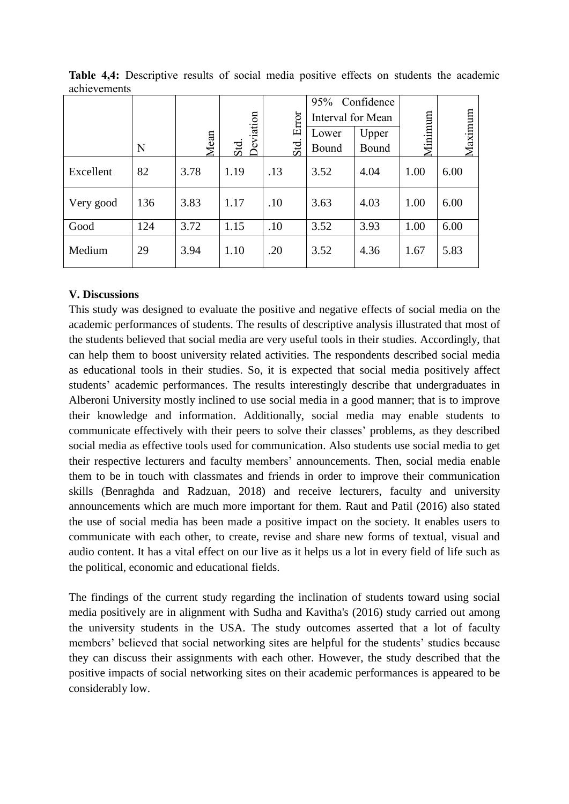|           |     |      |                   | Error | 95% Confidence<br>Interval for Mean |                |         |         |
|-----------|-----|------|-------------------|-------|-------------------------------------|----------------|---------|---------|
|           | N   | Mean | Deviation<br>Std. | Std   | Lower<br>Bound                      | Upper<br>Bound | Minimum | Maximum |
| Excellent | 82  | 3.78 | 1.19              | .13   | 3.52                                | 4.04           | 1.00    | 6.00    |
| Very good | 136 | 3.83 | 1.17              | .10   | 3.63                                | 4.03           | 1.00    | 6.00    |
| Good      | 124 | 3.72 | 1.15              | .10   | 3.52                                | 3.93           | 1.00    | 6.00    |
| Medium    | 29  | 3.94 | 1.10              | .20   | 3.52                                | 4.36           | 1.67    | 5.83    |

**Table 4,4:** Descriptive results of social media positive effects on students the academic achievements

#### **V. Discussions**

This study was designed to evaluate the positive and negative effects of social media on the academic performances of students. The results of descriptive analysis illustrated that most of the students believed that social media are very useful tools in their studies. Accordingly, that can help them to boost university related activities. The respondents described social media as educational tools in their studies. So, it is expected that social media positively affect students' academic performances. The results interestingly describe that undergraduates in Alberoni University mostly inclined to use social media in a good manner; that is to improve their knowledge and information. Additionally, social media may enable students to communicate effectively with their peers to solve their classes' problems, as they described social media as effective tools used for communication. Also students use social media to get their respective lecturers and faculty members' announcements. Then, social media enable them to be in touch with classmates and friends in order to improve their communication skills (Benraghda and Radzuan, 2018) and receive lecturers, faculty and university announcements which are much more important for them. Raut and Patil (2016) also stated the use of social media has been made a positive impact on the society. It enables users to communicate with each other, to create, revise and share new forms of textual, visual and audio content. It has a vital effect on our live as it helps us a lot in every field of life such as the political, economic and educational fields.

The findings of the current study regarding the inclination of students toward using social media positively are in alignment with Sudha and Kavitha's (2016) study carried out among the university students in the USA. The study outcomes asserted that a lot of faculty members' believed that social networking sites are helpful for the students' studies because they can discuss their assignments with each other. However, the study described that the positive impacts of social networking sites on their academic performances is appeared to be considerably low.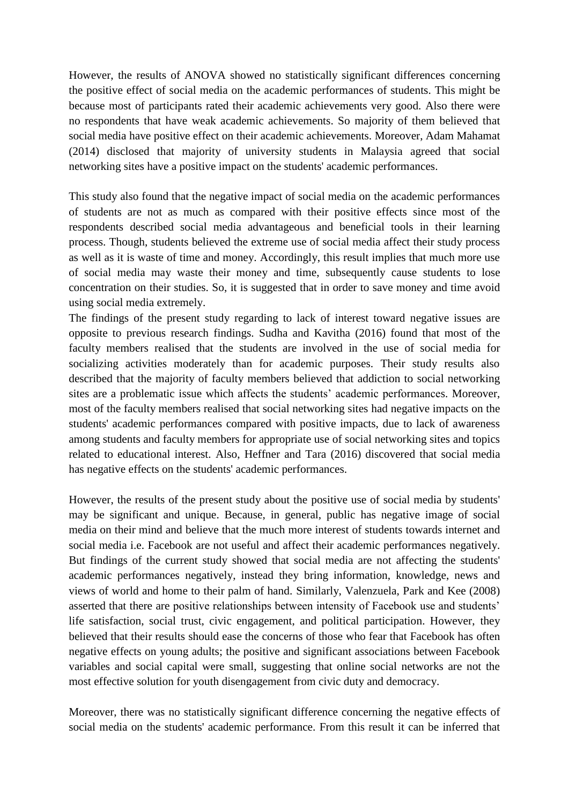However, the results of ANOVA showed no statistically significant differences concerning the positive effect of social media on the academic performances of students. This might be because most of participants rated their academic achievements very good. Also there were no respondents that have weak academic achievements. So majority of them believed that social media have positive effect on their academic achievements. Moreover, Adam Mahamat (2014) disclosed that majority of university students in Malaysia agreed that social networking sites have a positive impact on the students' academic performances.

This study also found that the negative impact of social media on the academic performances of students are not as much as compared with their positive effects since most of the respondents described social media advantageous and beneficial tools in their learning process. Though, students believed the extreme use of social media affect their study process as well as it is waste of time and money. Accordingly, this result implies that much more use of social media may waste their money and time, subsequently cause students to lose concentration on their studies. So, it is suggested that in order to save money and time avoid using social media extremely.

The findings of the present study regarding to lack of interest toward negative issues are opposite to previous research findings. Sudha and Kavitha (2016) found that most of the faculty members realised that the students are involved in the use of social media for socializing activities moderately than for academic purposes. Their study results also described that the majority of faculty members believed that addiction to social networking sites are a problematic issue which affects the students' academic performances. Moreover, most of the faculty members realised that social networking sites had negative impacts on the students' academic performances compared with positive impacts, due to lack of awareness among students and faculty members for appropriate use of social networking sites and topics related to educational interest. Also, Heffner and Tara (2016) discovered that social media has negative effects on the students' academic performances.

However, the results of the present study about the positive use of social media by students' may be significant and unique. Because, in general, public has negative image of social media on their mind and believe that the much more interest of students towards internet and social media i.e. Facebook are not useful and affect their academic performances negatively. But findings of the current study showed that social media are not affecting the students' academic performances negatively, instead they bring information, knowledge, news and views of world and home to their palm of hand. Similarly, Valenzuela, Park and Kee (2008) asserted that there are positive relationships between intensity of Facebook use and students' life satisfaction, social trust, civic engagement, and political participation. However, they believed that their results should ease the concerns of those who fear that Facebook has often negative effects on young adults; the positive and significant associations between Facebook variables and social capital were small, suggesting that online social networks are not the most effective solution for youth disengagement from civic duty and democracy.

Moreover, there was no statistically significant difference concerning the negative effects of social media on the students' academic performance. From this result it can be inferred that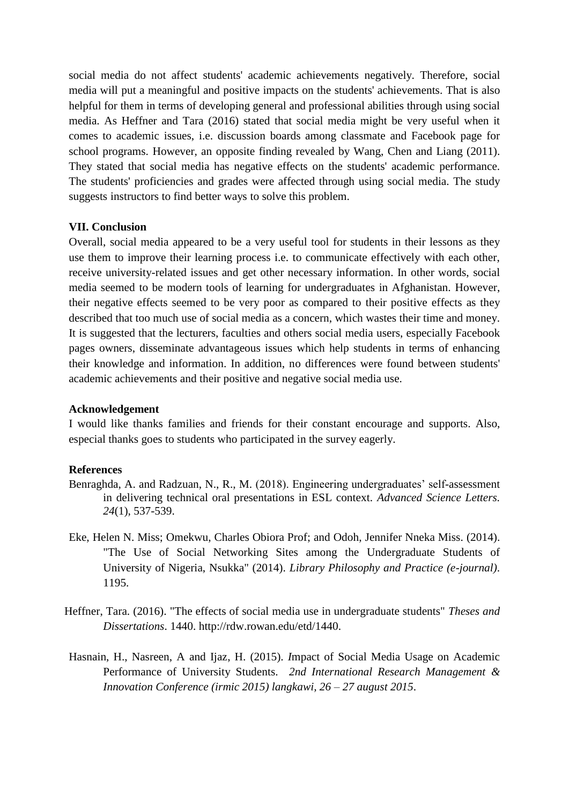social media do not affect students' academic achievements negatively. Therefore, social media will put a meaningful and positive impacts on the students' achievements. That is also helpful for them in terms of developing general and professional abilities through using social media. As Heffner and Tara (2016) stated that social media might be very useful when it comes to academic issues, i.e. discussion boards among classmate and Facebook page for school programs. However, an opposite finding revealed by Wang, Chen and Liang (2011). They stated that social media has negative effects on the students' academic performance. The students' proficiencies and grades were affected through using social media. The study suggests instructors to find better ways to solve this problem.

#### **VII. Conclusion**

Overall, social media appeared to be a very useful tool for students in their lessons as they use them to improve their learning process i.e. to communicate effectively with each other, receive university-related issues and get other necessary information. In other words, social media seemed to be modern tools of learning for undergraduates in Afghanistan. However, their negative effects seemed to be very poor as compared to their positive effects as they described that too much use of social media as a concern, which wastes their time and money. It is suggested that the lecturers, faculties and others social media users, especially Facebook pages owners, disseminate advantageous issues which help students in terms of enhancing their knowledge and information. In addition, no differences were found between students' academic achievements and their positive and negative social media use.

#### **Acknowledgement**

I would like thanks families and friends for their constant encourage and supports. Also, especial thanks goes to students who participated in the survey eagerly.

#### **References**

- Benraghda, A. and Radzuan, N., R., M. (2018). Engineering undergraduates' self-assessment in delivering technical oral presentations in ESL context. *Advanced Science Letters. 24*(1), 537-539.
- Eke, Helen N. Miss; Omekwu, Charles Obiora Prof; and Odoh, Jennifer Nneka Miss. (2014). "The Use of Social Networking Sites among the Undergraduate Students of University of Nigeria, Nsukka" (2014). *Library Philosophy and Practice (e-journal)*. 1195.
- Heffner, Tara. (2016). "The effects of social media use in undergraduate students" *Theses and Dissertations*. 1440. [http://rdw.rowan.edu/etd/1440.](http://rdw.rowan.edu/etd/1440)
- Hasnain, H., Nasreen, A and Ijaz, H. (2015). *I*mpact of Social Media Usage on Academic Performance of University Students. *2nd International Research Management & Innovation Conference (irmic 2015) langkawi, 26 – 27 august 2015*.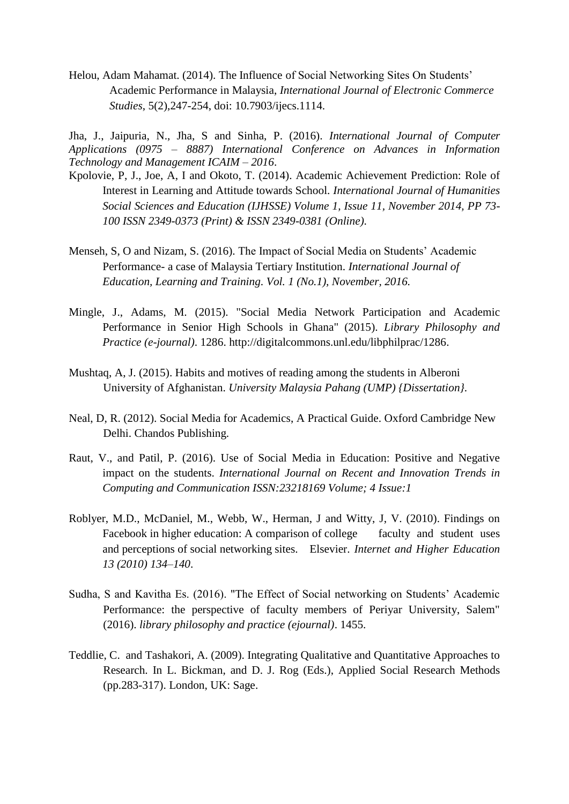Helou, Adam Mahamat. (2014). The Influence of Social Networking Sites On Students' Academic Performance in Malaysia, *International Journal of Electronic Commerce Studies*, 5(2),247-254, doi: 10.7903/ijecs.1114.

Jha, J., Jaipuria, N., Jha, S and Sinha, P. (2016). *International Journal of Computer Applications (0975 – 8887) International Conference on Advances in Information Technology and Management ICAIM – 2016*.

- Kpolovie, P, J., Joe, A, I and Okoto, T. (2014). Academic Achievement Prediction: Role of Interest in Learning and Attitude towards School. *International Journal of Humanities Social Sciences and Education (IJHSSE) Volume 1, Issue 11, November 2014, PP 73- 100 ISSN 2349-0373 (Print) & ISSN 2349-0381 (Online)*.
- Menseh, S, O and Nizam, S. (2016). The Impact of Social Media on Students' Academic Performance- a case of Malaysia Tertiary Institution. *International Journal of Education, Learning and Training. Vol. 1 (No.1), November, 2016.*
- Mingle, J., Adams, M. (2015). "Social Media Network Participation and Academic Performance in Senior High Schools in Ghana" (2015). *Library Philosophy and Practice (e-journal)*. 1286. [http://digitalcommons.unl.edu/libphilprac/1286.](http://digitalcommons.unl.edu/libphilprac/1286)
- Mushtaq, A, J. (2015). Habits and motives of reading among the students in Alberoni University of Afghanistan. *University Malaysia Pahang (UMP) {Dissertation}.*
- Neal, D, R. (2012). Social Media for Academics, A Practical Guide. Oxford Cambridge New Delhi. Chandos Publishing.
- Raut, V., and Patil, P. (2016). Use of Social Media in Education: Positive and Negative impact on the students. *International Journal on Recent and Innovation Trends in Computing and Communication ISSN:23218169 Volume; 4 Issue:1*
- Roblyer, M.D., McDaniel, M., Webb, W., Herman, J and Witty, J, V. (2010). Findings on Facebook in higher education: A comparison of college faculty and student uses and perceptions of social networking sites. Elsevier. *Internet and Higher Education 13 (2010) 134–140*.
- Sudha, S and Kavitha Es. (2016). "The Effect of Social networking on Students' Academic Performance: the perspective of faculty members of Periyar University, Salem" (2016). *library philosophy and practice (ejournal)*. 1455.
- Teddlie, C. and Tashakori, A. (2009). Integrating Qualitative and Quantitative Approaches to Research. In L. Bickman, and D. J. Rog (Eds.), Applied Social Research Methods (pp.283-317). London, UK: Sage.